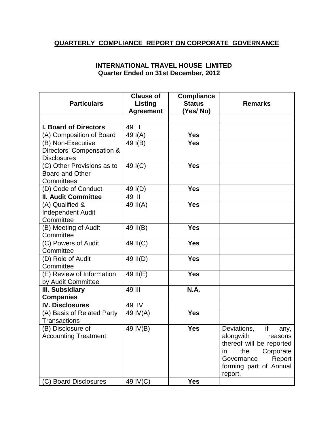## **QUARTERLY COMPLIANCE REPORT ON CORPORATE GOVERNANCE**

## **INTERNATIONAL TRAVEL HOUSE LIMITED Quarter Ended on 31st December, 2012**

|                                     | <b>Clause of</b>   | <b>Compliance</b> |                           |
|-------------------------------------|--------------------|-------------------|---------------------------|
| <b>Particulars</b>                  | Listing            | <b>Status</b>     | <b>Remarks</b>            |
|                                     | <b>Agreement</b>   | (Yes/No)          |                           |
| <b>I. Board of Directors</b>        | 49<br>$\mathbf{I}$ |                   |                           |
| (A) Composition of Board            | 49 I(A)            | <b>Yes</b>        |                           |
| (B) Non-Executive                   | 49 I(B)            | <b>Yes</b>        |                           |
| Directors' Compensation &           |                    |                   |                           |
| <b>Disclosures</b>                  |                    |                   |                           |
| (C) Other Provisions as to          | 49 I(C)            | <b>Yes</b>        |                           |
| <b>Board and Other</b>              |                    |                   |                           |
| Committees                          |                    |                   |                           |
| (D) Code of Conduct                 | 49 I(D)            | <b>Yes</b>        |                           |
| <b>II. Audit Committee</b>          | 49 II              |                   |                           |
| (A) Qualified &                     | 49 II(A)           | <b>Yes</b>        |                           |
| <b>Independent Audit</b>            |                    |                   |                           |
| Committee                           |                    |                   |                           |
| (B) Meeting of Audit                | 49 II(B)           | <b>Yes</b>        |                           |
| Committee                           |                    |                   |                           |
| (C) Powers of Audit                 | 49 II(C)           | <b>Yes</b>        |                           |
| Committee                           |                    |                   |                           |
| (D) Role of Audit                   | 49 II(D)           | <b>Yes</b>        |                           |
| Committee                           |                    |                   |                           |
| (E) Review of Information           | 49 II(E)           | <b>Yes</b>        |                           |
| by Audit Committee                  | 49 III             | N.A.              |                           |
| III. Subsidiary<br><b>Companies</b> |                    |                   |                           |
| <b>IV. Disclosures</b>              | 49 IV              |                   |                           |
| (A) Basis of Related Party          | 49 IV(A)           | <b>Yes</b>        |                           |
| <b>Transactions</b>                 |                    |                   |                           |
| (B) Disclosure of                   | 49 IV(B)           | <b>Yes</b>        | if<br>Deviations,<br>any, |
| <b>Accounting Treatment</b>         |                    |                   | alongwith<br>reasons      |
|                                     |                    |                   | thereof will be reported  |
|                                     |                    |                   | the<br>Corporate<br>in.   |
|                                     |                    |                   | Governance<br>Report      |
|                                     |                    |                   | forming part of Annual    |
|                                     |                    |                   | report.                   |
| (C) Board Disclosures               | 49 IV(C)           | <b>Yes</b>        |                           |